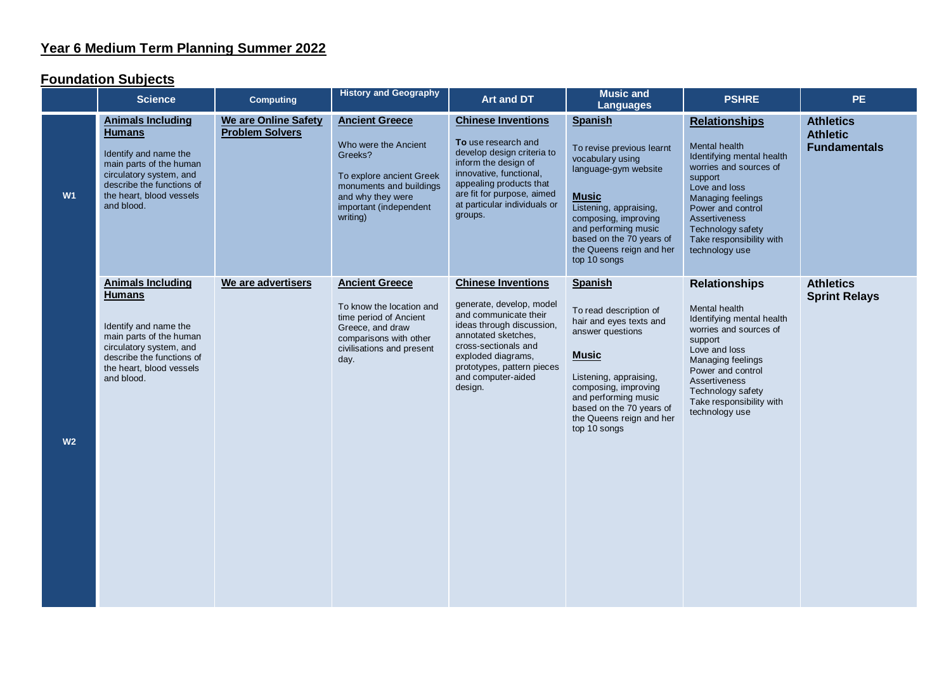## **Year 6 Medium Term Planning Summer 2022**

## **Foundation Subjects**

|                | <b>Science</b>                                                                                                                                                                                  | <b>Computing</b>                                      | <b>History and Geography</b>                                                                                                                                               | Art and DT                                                                                                                                                                                                                                      | <b>Music and</b><br><b>Languages</b>                                                                                                                                                                                                                      | <b>PSHRE</b>                                                                                                                                                                                                                                                  | <b>PE</b>                                                  |
|----------------|-------------------------------------------------------------------------------------------------------------------------------------------------------------------------------------------------|-------------------------------------------------------|----------------------------------------------------------------------------------------------------------------------------------------------------------------------------|-------------------------------------------------------------------------------------------------------------------------------------------------------------------------------------------------------------------------------------------------|-----------------------------------------------------------------------------------------------------------------------------------------------------------------------------------------------------------------------------------------------------------|---------------------------------------------------------------------------------------------------------------------------------------------------------------------------------------------------------------------------------------------------------------|------------------------------------------------------------|
| W1             | <b>Animals Including</b><br><b>Humans</b><br>Identify and name the<br>main parts of the human<br>circulatory system, and<br>describe the functions of<br>the heart, blood vessels<br>and blood. | <b>We are Online Safety</b><br><b>Problem Solvers</b> | <b>Ancient Greece</b><br>Who were the Ancient<br>Greeks?<br>To explore ancient Greek<br>monuments and buildings<br>and why they were<br>important (independent<br>writing) | <b>Chinese Inventions</b><br>To use research and<br>develop design criteria to<br>inform the design of<br>innovative, functional,<br>appealing products that<br>are fit for purpose, aimed<br>at particular individuals or<br>groups.           | <b>Spanish</b><br>To revise previous learnt<br>vocabulary using<br>language-gym website<br><b>Music</b><br>Listening, appraising,<br>composing, improving<br>and performing music<br>based on the 70 years of<br>the Queens reign and her<br>top 10 songs | <b>Relationships</b><br>Mental health<br>Identifying mental health<br>worries and sources of<br>support<br>Love and loss<br>Managing feelings<br>Power and control<br><b>Assertiveness</b><br>Technology safety<br>Take responsibility with<br>technology use | <b>Athletics</b><br><b>Athletic</b><br><b>Fundamentals</b> |
| W <sub>2</sub> | <b>Animals Including</b><br><b>Humans</b><br>Identify and name the<br>main parts of the human<br>circulatory system, and<br>describe the functions of<br>the heart, blood vessels<br>and blood. | We are advertisers                                    | <b>Ancient Greece</b><br>To know the location and<br>time period of Ancient<br>Greece, and draw<br>comparisons with other<br>civilisations and present<br>day.             | <b>Chinese Inventions</b><br>generate, develop, model<br>and communicate their<br>ideas through discussion,<br>annotated sketches.<br>cross-sectionals and<br>exploded diagrams,<br>prototypes, pattern pieces<br>and computer-aided<br>design. | <b>Spanish</b><br>To read description of<br>hair and eyes texts and<br>answer questions<br><b>Music</b><br>Listening, appraising,<br>composing, improving<br>and performing music<br>based on the 70 years of<br>the Queens reign and her<br>top 10 songs | <b>Relationships</b><br>Mental health<br>Identifying mental health<br>worries and sources of<br>support<br>Love and loss<br>Managing feelings<br>Power and control<br>Assertiveness<br>Technology safety<br>Take responsibility with<br>technology use        | <b>Athletics</b><br><b>Sprint Relays</b>                   |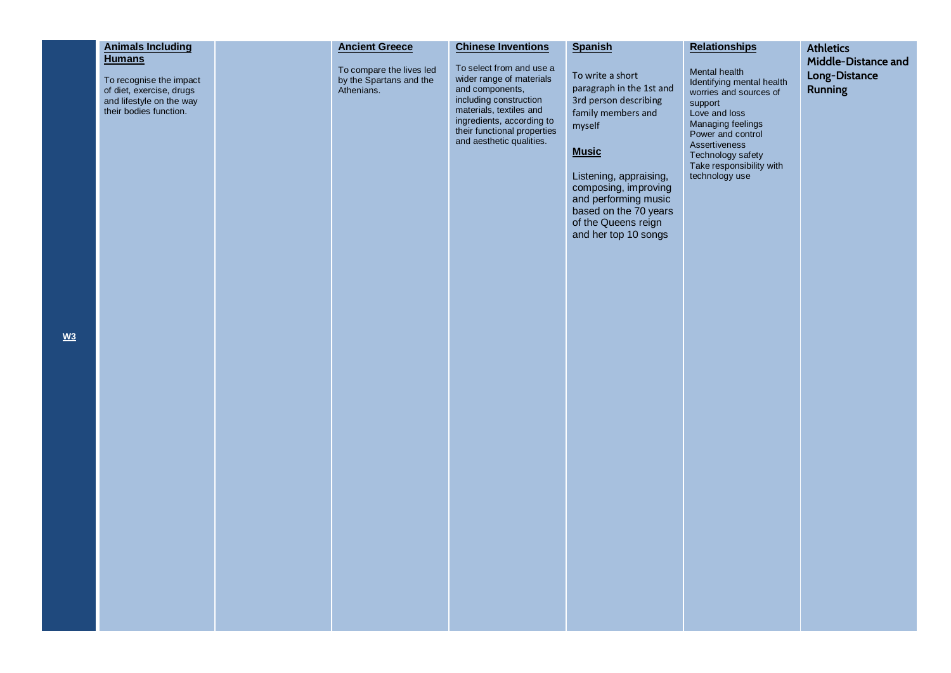| <b>Animals Including</b>                                                                                                   | <b>Ancient Greece</b>                                             | <b>Chinese Inventions</b>                                                                                                                                                                                            | <b>Spanish</b>                                                                                                                                                 | <b>Relationships</b>                                                                                                                       | <b>Athletics</b>                                       |
|----------------------------------------------------------------------------------------------------------------------------|-------------------------------------------------------------------|----------------------------------------------------------------------------------------------------------------------------------------------------------------------------------------------------------------------|----------------------------------------------------------------------------------------------------------------------------------------------------------------|--------------------------------------------------------------------------------------------------------------------------------------------|--------------------------------------------------------|
| <b>Humans</b><br>To recognise the impact<br>of diet, exercise, drugs<br>and lifestyle on the way<br>their bodies function. | To compare the lives led<br>by the Spartans and the<br>Athenians. | To select from and use a<br>wider range of materials<br>and components,<br>including construction<br>materials, textiles and<br>ingredients, according to<br>their functional properties<br>and aesthetic qualities. | To write a short<br>paragraph in the 1st and<br>3rd person describing<br>family members and<br>myself                                                          | Mental health<br>Identifying mental health<br>worries and sources of<br>support<br>Love and loss<br>Managing feelings<br>Power and control | Middle-Distance and<br>Long-Distance<br><b>Running</b> |
|                                                                                                                            |                                                                   |                                                                                                                                                                                                                      | <b>Music</b><br>Listening, appraising,<br>composing, improving<br>and performing music<br>based on the 70 years<br>of the Queens reign<br>and her top 10 songs | Assertiveness<br>Technology safety<br>Take responsibility with<br>technology use                                                           |                                                        |
|                                                                                                                            |                                                                   |                                                                                                                                                                                                                      |                                                                                                                                                                |                                                                                                                                            |                                                        |
|                                                                                                                            |                                                                   |                                                                                                                                                                                                                      |                                                                                                                                                                |                                                                                                                                            |                                                        |
|                                                                                                                            |                                                                   |                                                                                                                                                                                                                      |                                                                                                                                                                |                                                                                                                                            |                                                        |
|                                                                                                                            |                                                                   |                                                                                                                                                                                                                      |                                                                                                                                                                |                                                                                                                                            |                                                        |
|                                                                                                                            |                                                                   |                                                                                                                                                                                                                      |                                                                                                                                                                |                                                                                                                                            |                                                        |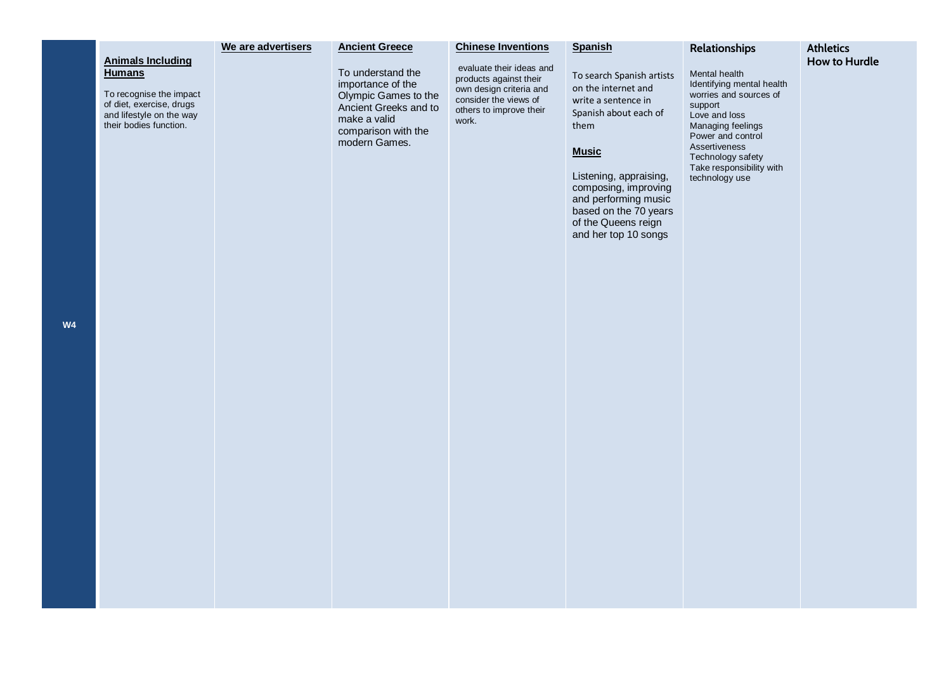| We are advertisers<br><b>Ancient Greece</b><br><b>Chinese Inventions</b>                                                                                                                                                                                                                                                                                                                                                                                | <b>Spanish</b>                                                                                                                                                                                                                                                             | Relationships                                                                                                                                                                                                                  | <b>Athletics</b>     |
|---------------------------------------------------------------------------------------------------------------------------------------------------------------------------------------------------------------------------------------------------------------------------------------------------------------------------------------------------------------------------------------------------------------------------------------------------------|----------------------------------------------------------------------------------------------------------------------------------------------------------------------------------------------------------------------------------------------------------------------------|--------------------------------------------------------------------------------------------------------------------------------------------------------------------------------------------------------------------------------|----------------------|
| <b>Animals Including</b><br>evaluate their ideas and<br>To understand the<br><b>Humans</b><br>products against their<br>importance of the<br>own design criteria and<br>To recognise the impact<br>Olympic Games to the<br>consider the views of<br>of diet, exercise, drugs<br>Ancient Greeks and to<br>others to improve their<br>and lifestyle on the way<br>make a valid<br>work.<br>their bodies function.<br>comparison with the<br>modern Games. | To search Spanish artists<br>on the internet and<br>write a sentence in<br>Spanish about each of<br>them<br><b>Music</b><br>Listening, appraising,<br>composing, improving<br>and performing music<br>based on the 70 years<br>of the Queens reign<br>and her top 10 songs | Mental health<br>Identifying mental health<br>worries and sources of<br>support<br>Love and loss<br>Managing feelings<br>Power and control<br>Assertiveness<br>Technology safety<br>Take responsibility with<br>technology use | <b>How to Hurdle</b> |
|                                                                                                                                                                                                                                                                                                                                                                                                                                                         |                                                                                                                                                                                                                                                                            |                                                                                                                                                                                                                                |                      |

**W4**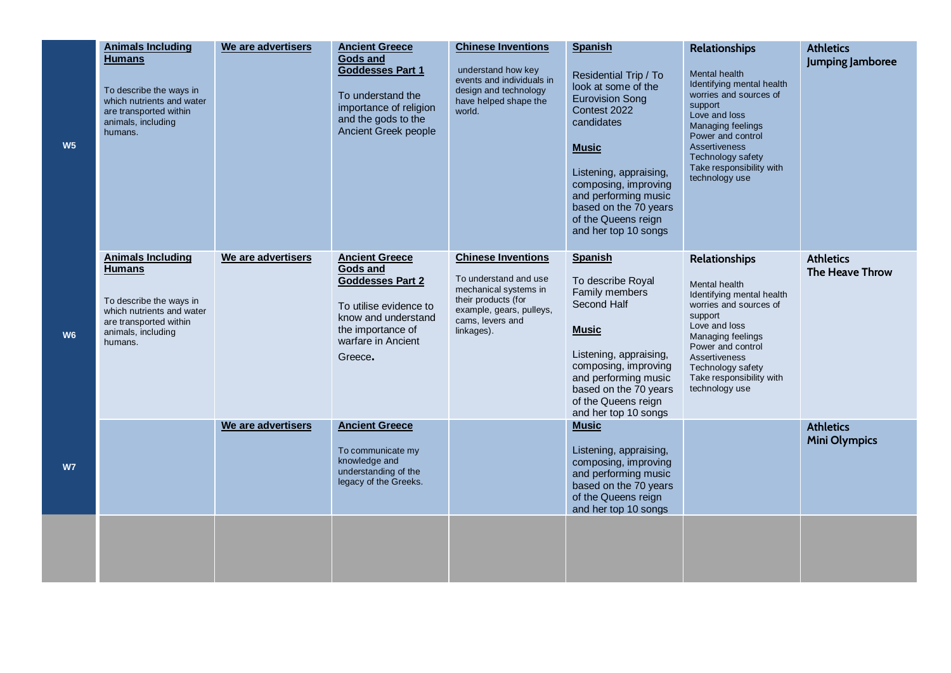| W <sub>5</sub> | <b>Animals Including</b><br><b>Humans</b><br>To describe the ways in<br>which nutrients and water<br>are transported within<br>animals, including<br>humans. | We are advertisers | <b>Ancient Greece</b><br><b>Gods and</b><br>Goddesses Part 1<br>To understand the<br>importance of religion<br>and the gods to the<br>Ancient Greek people          | <b>Chinese Inventions</b><br>understand how key<br>events and individuals in<br>design and technology<br>have helped shape the<br>world.                         | <b>Spanish</b><br>Residential Trip / To<br>look at some of the<br><b>Eurovision Song</b><br>Contest 2022<br>candidates<br><b>Music</b><br>Listening, appraising,<br>composing, improving<br>and performing music<br>based on the 70 years<br>of the Queens reign<br>and her top 10 songs | <b>Relationships</b><br>Mental health<br>Identifying mental health<br>worries and sources of<br>support<br>Love and loss<br>Managing feelings<br>Power and control<br><b>Assertiveness</b><br>Technology safety<br>Take responsibility with<br>technology use | <b>Athletics</b><br>Jumping Jamboree     |
|----------------|--------------------------------------------------------------------------------------------------------------------------------------------------------------|--------------------|---------------------------------------------------------------------------------------------------------------------------------------------------------------------|------------------------------------------------------------------------------------------------------------------------------------------------------------------|------------------------------------------------------------------------------------------------------------------------------------------------------------------------------------------------------------------------------------------------------------------------------------------|---------------------------------------------------------------------------------------------------------------------------------------------------------------------------------------------------------------------------------------------------------------|------------------------------------------|
| W <sub>6</sub> | <b>Animals Including</b><br><b>Humans</b><br>To describe the ways in<br>which nutrients and water<br>are transported within<br>animals, including<br>humans. | We are advertisers | <b>Ancient Greece</b><br>Gods and<br><b>Goddesses Part 2</b><br>To utilise evidence to<br>know and understand<br>the importance of<br>warfare in Ancient<br>Greece. | <b>Chinese Inventions</b><br>To understand and use<br>mechanical systems in<br>their products (for<br>example, gears, pulleys,<br>cams, levers and<br>linkages). | <b>Spanish</b><br>To describe Royal<br>Family members<br>Second Half<br><b>Music</b><br>Listening, appraising,<br>composing, improving<br>and performing music<br>based on the 70 years<br>of the Queens reign<br>and her top 10 songs                                                   | <b>Relationships</b><br>Mental health<br>Identifying mental health<br>worries and sources of<br>support<br>Love and loss<br>Managing feelings<br>Power and control<br>Assertiveness<br>Technology safety<br>Take responsibility with<br>technology use        | <b>Athletics</b><br>The Heave Throw      |
| <b>W7</b>      |                                                                                                                                                              | We are advertisers | <b>Ancient Greece</b><br>To communicate my<br>knowledge and<br>understanding of the<br>legacy of the Greeks.                                                        |                                                                                                                                                                  | <b>Music</b><br>Listening, appraising,<br>composing, improving<br>and performing music<br>based on the 70 years<br>of the Queens reign<br>and her top 10 songs                                                                                                                           |                                                                                                                                                                                                                                                               | <b>Athletics</b><br><b>Mini Olympics</b> |
|                |                                                                                                                                                              |                    |                                                                                                                                                                     |                                                                                                                                                                  |                                                                                                                                                                                                                                                                                          |                                                                                                                                                                                                                                                               |                                          |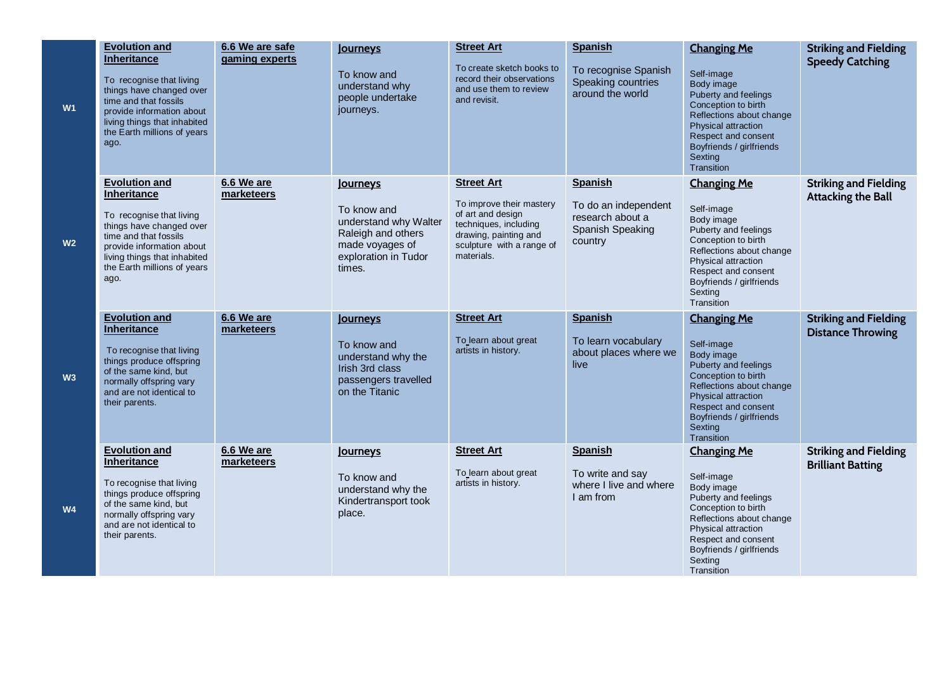| W1             | <b>Evolution and</b><br>Inheritance<br>To recognise that living<br>things have changed over<br>time and that fossils<br>provide information about<br>living things that inhabited<br>the Earth millions of years<br>ago. | 6.6 We are safe<br>gaming experts | Journeys<br>To know and<br>understand why<br>people undertake<br>journeys.                                                  | <b>Street Art</b><br>To create sketch books to<br>record their observations<br>and use them to review<br>and revisit.                                           | <b>Spanish</b><br>To recognise Spanish<br>Speaking countries<br>around the world          | <b>Changing Me</b><br>Self-image<br>Body image<br>Puberty and feelings<br>Conception to birth<br>Reflections about change<br><b>Physical attraction</b><br>Respect and consent<br>Boyfriends / girlfriends<br>Sexting<br>Transition | <b>Striking and Fielding</b><br><b>Speedy Catching</b>    |
|----------------|--------------------------------------------------------------------------------------------------------------------------------------------------------------------------------------------------------------------------|-----------------------------------|-----------------------------------------------------------------------------------------------------------------------------|-----------------------------------------------------------------------------------------------------------------------------------------------------------------|-------------------------------------------------------------------------------------------|-------------------------------------------------------------------------------------------------------------------------------------------------------------------------------------------------------------------------------------|-----------------------------------------------------------|
| W <sub>2</sub> | <b>Evolution and</b><br>Inheritance<br>To recognise that living<br>things have changed over<br>time and that fossils<br>provide information about<br>living things that inhabited<br>the Earth millions of years<br>ago. | 6.6 We are<br>marketeers          | Journeys<br>To know and<br>understand why Walter<br>Raleigh and others<br>made voyages of<br>exploration in Tudor<br>times. | <b>Street Art</b><br>To improve their mastery<br>of art and design<br>techniques, including<br>drawing, painting and<br>sculpture with a range of<br>materials. | <b>Spanish</b><br>To do an independent<br>research about a<br>Spanish Speaking<br>country | <b>Changing Me</b><br>Self-image<br>Body image<br>Puberty and feelings<br>Conception to birth<br>Reflections about change<br>Physical attraction<br>Respect and consent<br>Boyfriends / girlfriends<br>Sexting<br>Transition        | <b>Striking and Fielding</b><br><b>Attacking the Ball</b> |
| W3             | <b>Evolution and</b><br><b>Inheritance</b><br>To recognise that living<br>things produce offspring<br>of the same kind, but<br>normally offspring vary<br>and are not identical to<br>their parents.                     | 6.6 We are<br>marketeers          | Journeys<br>To know and<br>understand why the<br>Irish 3rd class<br>passengers travelled<br>on the Titanic                  | <b>Street Art</b><br>To learn about great<br>artists in history.                                                                                                | <b>Spanish</b><br>To learn vocabulary<br>about places where we<br>live                    | <b>Changing Me</b><br>Self-image<br>Body image<br>Puberty and feelings<br>Conception to birth<br>Reflections about change<br>Physical attraction<br>Respect and consent<br>Boyfriends / girlfriends<br>Sexting<br>Transition        | <b>Striking and Fielding</b><br><b>Distance Throwing</b>  |
| <b>W4</b>      | <b>Evolution and</b><br>Inheritance<br>To recognise that living<br>things produce offspring<br>of the same kind, but<br>normally offspring vary<br>and are not identical to<br>their parents.                            | 6.6 We are<br>marketeers          | Journeys<br>To know and<br>understand why the<br>Kindertransport took<br>place.                                             | <b>Street Art</b><br>To learn about great<br>artists in history.                                                                                                | <b>Spanish</b><br>To write and say<br>where I live and where<br>I am from                 | <b>Changing Me</b><br>Self-image<br>Body image<br>Puberty and feelings<br>Conception to birth<br>Reflections about change<br>Physical attraction<br>Respect and consent<br>Boyfriends / girlfriends<br>Sexting<br>Transition        | <b>Striking and Fielding</b><br><b>Brilliant Batting</b>  |